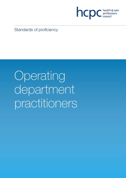

Standards of proficiency

**Operating** department practitioners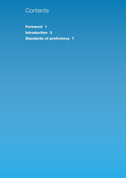# **Contents**

**Foreword 1 Introduction 3 Standards of proficiency 7**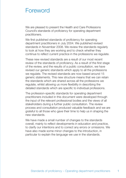## **Foreword**

We are pleased to present the Health and Care Professions Council's standards of proficiency for operating department practitioners.

We first published standards of proficiency for operating department practitioners in July 2004. We published revised standards in November 2008. We review the standards regularly to look at how they are working and to check whether they continue to reflect current practice in the professions we regulate.

These new revised standards are a result of our most recent review of the standards of proficiency. As a result of the first stage of the review, and the results of a public consultation, we have revised our generic standards which apply to all the professions we regulate. The revised standards are now based around 15 generic statements. This new structure means that we can retain the standards which are shared across all the professions we regulate, whilst allowing us more flexibility in describing the detailed standards which are specific to individual professions.

The profession-specific standards for operating department practitioners included in this document were developed through the input of the relevant professional bodies and the views of all stakeholders during a further public consultation. The review process and consultation produced valuable feedback and we are grateful to all those who gave their time to help us in shaping the new standards.

We have made a small number of changes to the standards overall, mainly to reflect developments in education and practice, to clarify our intentions and to correct any errors or omissions. We have also made some minor changes to the introduction, in particular to explain the language we use in the standards.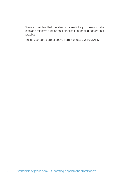We are confident that the standards are fit for purpose and reflect safe and effective professional practice in operating department practice.

These standards are effective from Monday 2 June 2014.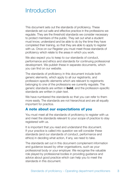# **Introduction**

This document sets out the standards of proficiency. These standards set out safe and effective practice in the professions we regulate. They are the threshold standards we consider necessary to protect members of the public. They set out what a student must know, understand and be able to do by the time they have completed their training, so that they are able to apply to register with us. Once on our Register you must meet those standards of proficiency which relate to the areas in which you work.

We also expect you to keep to our standards of conduct, performance and ethics and standards for continuing professional development. We publish these in separate documents, which you can find on our website.

The standards of proficiency in this document include both generic elements, which apply to all our registrants, and profession-specific elements which are relevant to registrants belonging to one of the professions we currently regulate. The generic standards are written in **bold**, and the profession-specific standards are written in plain text.

We have numbered the standards so that you can refer to them more easily. The standards are not hierarchical and are all equally important for practice.

### **A note about our expectations of you**

You must meet all the standards of proficiency to register with us and meet the standards relevant to your scope of practice to stay registered with us.

It is important that you read and understand this document. If your practice is called into question we will consider these standards (and our standards of conduct, performance and ethics) in deciding what action, if any, we need to take.

The standards set out in this document complement information and guidance issued by other organisations, such as your professional body or your employer. We recognise the valuable role played by professional bodies in providing guidance and advice about good practice which can help you to meet the standards in this document.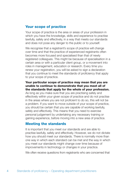## **Your scope of practice**

Your scope of practice is the area or areas of your profession in which you have the knowledge, skills and experience to practise lawfully, safely and effectively, in a way that meets our standards and does not pose any danger to the public or to yourself.

We recognise that a registrant's scope of practice will change over time and that the practice of experienced registrants often becomes more focused and specialised than that of newly registered colleagues. This might be because of specialisation in a certain area or with a particular client group, or a movement into roles in management, education or research. Every time you renew your registration, you will be asked to sign a declaration that you continue to meet the standards of proficiency that apply to your scope of practice.

#### **Your particular scope of practice may mean that you are unable to continue to demonstrate that you meet all of the standards that apply for the whole of your profession.**

As long as you make sure that you are practising safely and effectively within your given scope of practice and do not practise in the areas where you are not proficient to do so, this will not be a problem. If you want to move outside of your scope of practice, you should be certain that you are capable of working lawfully, safely and effectively. This means that you need to exercise personal judgement by undertaking any necessary training or gaining experience, before moving into a new area of practice.

#### **Meeting the standards**

It is important that you meet our standards and are able to practise lawfully, safely and effectively. However, we do not dictate how you should meet our standards. There is normally more than one way in which each standard can be met and the way in which you meet our standards might change over time because of improvements in technology or changes in your practice.

We often receive questions from registrants who are concerned that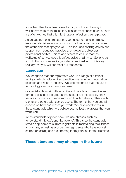something they have been asked to do, a policy, or the way in which they work might mean they cannot meet our standards. They are often worried that this might have an effect on their registration.

As an autonomous professional, you need to make informed, reasoned decisions about your practice to ensure that you meet the standards that apply to you. This includes seeking advice and support from education providers, employers, colleagues, professional bodies, unions and others to ensure that the wellbeing of service users is safeguarded at all times. So long as you do this and can justify your decisions if asked to, it is very unlikely that you will not meet our standards.

### **Language**

We recognise that our registrants work in a range of different settings, which include direct practice, management, education, research and roles in industry. We also recognise that the use of terminology can be an emotive issue.

Our registrants work with very different people and use different terms to describe the groups that use, or are affected by, their services. Some of our registrants work with patients, others with clients and others with service users. The terms that you use will depend on how and where you work. We have used terms in these standards which we believe best reflect the groups that you work with

In the standards of proficiency, we use phrases such as 'understand', 'know', and 'be able to'. This is so the standards remain applicable to current registrants in maintaining their fitness to practise, as well as prospective registrants who have not yet started practising and are applying for registration for the first time.

## **These standards may change in the future**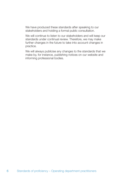We have produced these standards after speaking to our stakeholders and holding a formal public consultation.

We will continue to listen to our stakeholders and will keep our standards under continual review. Therefore, we may make further changes in the future to take into account changes in practice.

We will always publicise any changes to the standards that we make by, for instance, publishing notices on our website and informing professional bodies.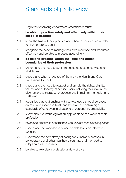# Standards of proficiency

Registrant operating department practitioners must:

#### **1 be able to practise safely and effectively within their scope of practice**

- 1.1 know the limits of their practice and when to seek advice or refer to another professional
- 1.2 recognise the need to manage their own workload and resources effectively and be able to practise accordingly

#### **2 be able to practise within the legal and ethical boundaries of their profession**

- 2.1 understand the need to act in the best interests of service users at all times
- 2.2 understand what is required of them by the Health and Care Professions Council
- 2.3 understand the need to respect and uphold the rights, dignity, values, and autonomy of service users including their role in the diagnostic and therapeutic process and in maintaining health and wellbeing
- 2.4 recognise that relationships with service users should be based on mutual respect and trust, and be able to maintain high standards of care even in situations of personal incompatibility
- 2.5 know about current legislation applicable to the work of their profession
- 2.6 be able to practise in accordance with relevant medicines legislation
- 2.7 understand the importance of and be able to obtain informed consent
- 2.8 understand the complexity of caring for vulnerable persons in perioperative and other healthcare settings, and the need to adapt care as necessary
- 2.9 be able to exercise a professional duty of care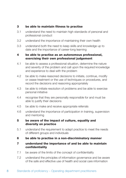#### **3 be able to maintain fitness to practise**

- 3.1 understand the need to maintain high standards of personal and professional conduct
- 3.2 understand the importance of maintaining their own health
- 3.3 understand both the need to keep skills and knowledge up to date and the importance of career-long learning

#### **4 be able to practise as an autonomous professional, exercising their own professional judgement**

- 4.1 be able to assess a professional situation, determine the nature and severity of the problem and call upon the required knowledge and experience to deal with the problem
- 4.2 be able to make reasoned decisions to initiate, continue, modify or cease treatment or the use of techniques or procedures, and record the decisions and reasoning appropriately
- 4.3 be able to initiate resolution of problems and be able to exercise personal initiative
- 4.4 recognise that they are personally responsible for and must be able to justify their decisions
- 4.5 be able to make and receive appropriate referrals
- 4.6 understand the importance of participation in training, supervision and mentoring

#### **5 be aware of the impact of culture, equality and diversity on practice**

- 5.1 understand the requirement to adapt practice to meet the needs of different groups and individuals
- **6 be able to practise in a non-discriminatory manner**

#### **7 understand the importance of and be able to maintain confidentiality**

- 7.1 be aware of the limits of the concept of confidentiality
- 7.2 understand the principles of information governance and be aware of the safe and effective use of health and social care information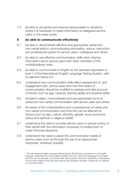7.3 be able to recognise and respond appropriately to situations where it is necessary to share information to safeguard service users or the wider public

#### **8 be able to communicate effectively**

- 8.1 be able to demonstrate effective and appropriate verbal and non-verbal skills in communicating information, advice, instruction and professional opinion to service users, colleagues and others
- 8.2 be able to use effective communication skills when sharing information about service users with other members of the multidisciplinary team
- 8.3 be able to communicate in English to the standard equivalent to level 7 of the International English Language Testing System, with no element below  $6.5^{\circ}$
- 8.4 understand how communication skills affect assessment of, and engagement with, service users and how the means of communication should be modified to address and take account of factors such as age, capacity, learning ability and physical ability
- 8.5 be able to select, move between and use appropriate forms of verbal and non-verbal communication with service users and others
- 8.6 be aware of the characteristics and consequences of verbal and non-verbal communication and how this can be affected by factors such as age, culture, ethnicity, gender, socio-economic status and spiritual or religious beliefs
- 8.7 understand the need to provide service users or people acting on their behalf with the information necessary to enable them to make informed decisions
- 8.8 understand the need to assist the communication needs of service users such as through the use of an appropriate interpreter, wherever possible

<sup>1</sup> The International English Language Testing System (IELTS) tests competence in the English language. Applicants who have qualified outside of the UK, whose first language is not English and who are not nationals of a country within the European Economic Area (EEA) or Switzerland, must provide evidence that they have reached the necessary standard. Please visit our website for more information.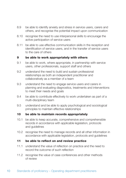- 8.9 be able to identify anxiety and stress in service users, carers and others, and recognise the potential impact upon communication
- 8.10 recognise the need to use interpersonal skills to encourage the active participation of service users
- 8.11 be able to use effective communication skills in the reception and identification of service users, and in the transfer of service users to the care of others

#### **9 be able to work appropriately with others**

- 9.1 be able to work, where appropriate, in partnership with service users, other professionals, support staff and others
- 9.2 understand the need to build and sustain professional relationships as both an independent practitioner and collaboratively as a member of a team
- 9.3 understand the need to engage service users and carers in planning and evaluating diagnostics, treatments and interventions to meet their needs and goals
- 9.4 be able to contribute effectively to work undertaken as part of a multi-disciplinary team
- 9.5 understand and be able to apply psychological and sociological principles to maintain effective relationships

#### **10 be able to maintain records appropriately**

- 10.1 be able to keep accurate, comprehensive and comprehensible records in accordance with applicable legislation, protocols and guidelines
- 10.2 recognise the need to manage records and all other information in accordance with applicable legislation, protocols and guidelines

#### **11 be able to reflect on and review practice**

- 11.1 understand the value of reflection on practice and the need to record the outcome of such reflection
- 11.2 recognise the value of case conferences and other methods of review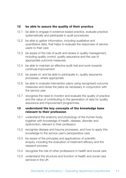#### **12 be able to assure the quality of their practice**

- 12.1 be able to engage in evidence-based practice, evaluate practice systematically and participate in audit procedures
- 12.2 be able to gather information, including qualitative and quantitative data, that helps to evaluate the responses of service users to their care
- 12.3 be aware of the role of audit and review in quality management, including quality control, quality assurance and the use of appropriate outcome measures
- 12.4 be able to maintain an effective audit trail and work towards continual improvement
- 12.5 be aware of, and be able to participate in, quality assurance processes, where appropriate
- 12.6 be able to evaluate intervention plans using recognised outcome measures and revise the plans as necessary in conjunction with the service user
- 12.7 recognise the need to monitor and evaluate the quality of practice and the value of contributing to the generation of data for quality assurance and improvement programmes

#### **13 understand the key concepts of the knowledge base relevant to their profession**

- 13.1 understand the anatomy and physiology of the human body, together with knowledge of health, disease, disorder and dysfunction, relevant to their profession
- 13.2 recognise disease and trauma processes, and how to apply this knowledge to the service user's perioperative care
- 13.3 be aware of the principles and applications of scientific enquiry, including the evaluation of treatment efficacy and the research process
- 13.4 recognise the role of other professions in health and social care
- 13.5 understand the structure and function of health and social care services in the LIK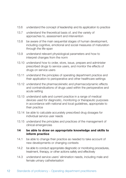- 13.6 understand the concept of leadership and its application to practice
- 13.7 understand the theoretical basis of, and the variety of approaches to, assessment and intervention
- 13.8 be aware of the main sequential stages of human development, including cognitive, emotional and social measures of maturation through the life-span
- 13.9 understand relevant physiological parameters and how to interpret changes from the norm
- 13.10 understand how to order, store, issue, prepare and administer prescribed drugs to service users, and monitor the effects of drugs on service users
- 13.11 understand the principles of operating department practice and their application to perioperative and other healthcare settings
- 13.12 understand the pharmacokinetic and pharmacodynamic effects and contraindications of drugs used within the perioperative and acute setting
- 13.13 understand safe and current practice in a range of medical devices used for diagnostic, monitoring or therapeutic purposes in accordance with national and local guidelines, appropriate to their practice
- 13.14 be able to calculate accurately prescribed drug dosages for individual service user needs
- 13.15 understand the principles and practices of the management of clinical emergencies

#### **14 be able to draw on appropriate knowledge and skills to inform practice**

- 14.1 be able to change their practice as needed to take account of new developments or changing contexts
- 14.2 be able to conduct appropriate diagnostic or monitoring procedures, treatment, therapy, or other actions safely and effectively
- 14.3 understand service users' elimination needs, including male and female urinary catheterisation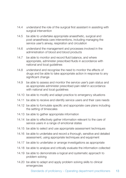- 14.4 understand the role of the surgical first assistant in assisting with surgical intervention
- 14.5 be able to undertake appropriate anaesthetic, surgical and post-anaesthesia care interventions, including managing the service user's airway, respiration and circulation
- 14.6 understand the management and processes involved in the administration of blood and blood products
- 14.7 be able to monitor and record fluid balance, and where appropriate, administer prescribed fluids in accordance with national and local guidelines
- 14.8 understand and recognise the need to monitor the effects of drugs and be able to take appropriate action in response to any significant change
- 14.9 be able to assess and monitor the service user's pain status and as appropriate administer prescribed pain relief in accordance with national and local quidelines
- 14.10 be able to modify and adapt practice to emergency situations
- 14.11 be able to receive and identify service users and their care needs
- 14.12 be able to formulate specific and appropriate care plans including the setting of timescales
- 14.13 be able to gather appropriate information
- 14.14 be able to effectively gather information relevant to the care of service users in a range of emotional states
- 14.15 be able to select and use appropriate assessment techniques
- 14.16 be able to undertake and record a thorough, sensitive and detailed assessment, using appropriate techniques and equipment
- 14.17 be able to undertake or arrange investigations as appropriate
- 14.18 be able to analyse and critically evaluate the information collected
- 14.19 be able to demonstrate a logical and systematic approach to problem solving
- 14.20 be able to adapt and apply problem solving skills to clinical emergencies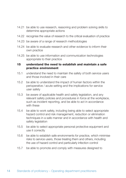- 14.21 be able to use research, reasoning and problem solving skills to determine appropriate actions
- 14.22 recognise the value of research to the critical evaluation of practice
- 14.23 be aware of a range of research methodologies
- 14.24 be able to evaluate research and other evidence to inform their own practice
- 14.25 be able to use information and communication technologies appropriate to their practice

#### **15 understand the need to establish and maintain a safe practice environment**

- 15.1 understand the need to maintain the safety of both service users and those involved in their care
- 15.2 be able to understand the impact of human factors within the perioperative / acute setting and the implications for service user safety
- 15.3 be aware of applicable health and safety legislation, and any relevant safety policies and procedures in force at the workplace, such as incident reporting, and be able to act in accordance with these
- 15.4 be able to work safely, including being able to select appropriate hazard control and risk management, reduction or elimination techniques in a safe manner and in accordance with health and safety legislation
- 15.5 be able to select appropriate personal protective equipment and use it correctly
- 15.6 be able to establish safe environments for practice, which minimise risks to service users, those treating them and others, including the use of hazard control and particularly infection control
- 15.7 be able to promote and comply with measures designed to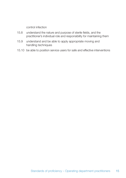control infection

- 15.8 understand the nature and purpose of sterile fields, and the practitioner's individual role and responsibility for maintaining them
- 15.9 understand and be able to apply appropriate moving and handling techniques
- 15.10 be able to position service users for safe and effective interventions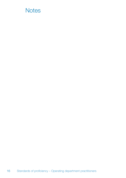# **Notes**